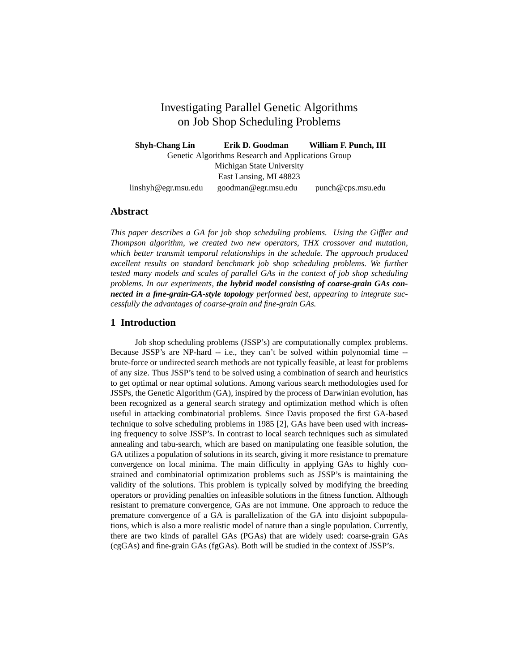# Investigating Parallel Genetic Algorithms on Job Shop Scheduling Problems

**Shyh-Chang Lin Erik D. Goodman William F. Punch, III** Genetic Algorithms Research and Applications Group Michigan State University East Lansing, MI 48823 linshyh@egr.msu.edu goodman@egr.msu.edu punch@cps.msu.edu

# **Abstract**

*This paper describes a GA for job shop scheduling problems. Using the Giffler and Thompson algorithm, we created two new operators, THX crossover and mutation, which better transmit temporal relationships in the schedule. The approach produced excellent results on standard benchmark job shop scheduling problems. We further tested many models and scales of parallel GAs in the context of job shop scheduling problems. In our experiments, the hybrid model consisting of coarse-grain GAs connected in a fine-grain-GA-style topology performed best, appearing to integrate successfully the advantages of coarse-grain and fine-grain GAs.*

# **1 Introduction**

Job shop scheduling problems (JSSP's) are computationally complex problems. Because JSSP's are NP-hard -- i.e., they can't be solved within polynomial time - brute-force or undirected search methods are not typically feasible, at least for problems of any size. Thus JSSP's tend to be solved using a combination of search and heuristics to get optimal or near optimal solutions. Among various search methodologies used for JSSPs, the Genetic Algorithm (GA), inspired by the process of Darwinian evolution, has been recognized as a general search strategy and optimization method which is often useful in attacking combinatorial problems. Since Davis proposed the first GA-based technique to solve scheduling problems in 1985 [2], GAs have been used with increasing frequency to solve JSSP's. In contrast to local search techniques such as simulated annealing and tabu-search, which are based on manipulating one feasible solution, the GA utilizes a population of solutions in its search, giving it more resistance to premature convergence on local minima. The main difficulty in applying GAs to highly constrained and combinatorial optimization problems such as JSSP's is maintaining the validity of the solutions. This problem is typically solved by modifying the breeding operators or providing penalties on infeasible solutions in the fitness function. Although resistant to premature convergence, GAs are not immune. One approach to reduce the premature convergence of a GA is parallelization of the GA into disjoint subpopulations, which is also a more realistic model of nature than a single population. Currently, there are two kinds of parallel GAs (PGAs) that are widely used: coarse-grain GAs (cgGAs) and fine-grain GAs (fgGAs). Both will be studied in the context of JSSP's.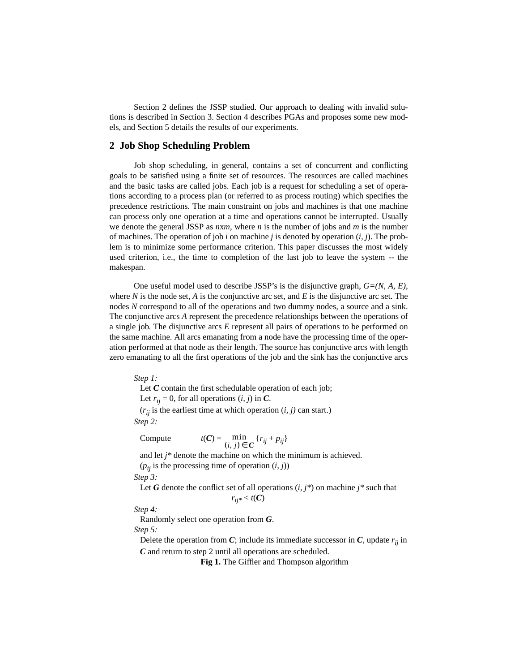Section 2 defines the JSSP studied. Our approach to dealing with invalid solutions is described in Section 3. Section 4 describes PGAs and proposes some new models, and Section 5 details the results of our experiments.

# **2 Job Shop Scheduling Problem**

Job shop scheduling, in general, contains a set of concurrent and conflicting goals to be satisfied using a finite set of resources. The resources are called machines and the basic tasks are called jobs. Each job is a request for scheduling a set of operations according to a process plan (or referred to as process routing) which specifies the precedence restrictions. The main constraint on jobs and machines is that one machine can process only one operation at a time and operations cannot be interrupted. Usually we denote the general JSSP as *n*x*m,* where *n* is the number of jobs and *m* is the number of machines. The operation of job *i* on machine *j* is denoted by operation (*i, j*). The problem is to minimize some performance criterion. This paper discusses the most widely used criterion, i.e., the time to completion of the last job to leave the system -- the makespan.

One useful model used to describe JSSP's is the disjunctive graph, *G=(N, A, E)*, where *N* is the node set, *A* is the conjunctive arc set, and *E* is the disjunctive arc set. The nodes *N* correspond to all of the operations and two dummy nodes, a source and a sink. The conjunctive arcs *A* represent the precedence relationships between the operations of a single job. The disjunctive arcs *E* represent all pairs of operations to be performed on the same machine. All arcs emanating from a node have the processing time of the operation performed at that node as their length. The source has conjunctive arcs with length zero emanating to all the first operations of the job and the sink has the conjunctive arcs

*Step 1:*

Let *C* contain the first schedulable operation of each job;

Let  $r_{ij} = 0$ , for all operations  $(i, j)$  in  $C$ .

 $(r_{ii})$  is the earliest time at which operation  $(i, j)$  can start.) *Step 2:*

Compute  $t(C) = \min_{(i,j) \in C} \{r_{ij} + p_{ij}\}$  $(i, j) \in C$ 

and let *j\** denote the machine on which the minimum is achieved.

 $(p_{ij}$  is the processing time of operation  $(i, j)$ )

*Step 3:*

Let *G* denote the conflict set of all operations  $(i, j^*)$  on machine  $j^*$  such that  $r_{ij}$   $<$   $t(C)$ 

*Step 4:*

Randomly select one operation from *G*.

*Step 5:*

Delete the operation from *C*; include its immediate successor in *C*, update  $r_{ij}$  in *C* and return to step 2 until all operations are scheduled.

**Fig 1.** The Giffler and Thompson algorithm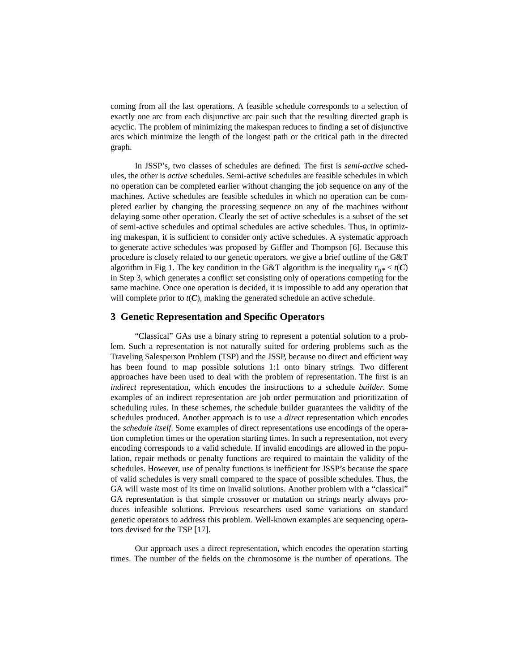coming from all the last operations. A feasible schedule corresponds to a selection of exactly one arc from each disjunctive arc pair such that the resulting directed graph is acyclic. The problem of minimizing the makespan reduces to finding a set of disjunctive arcs which minimize the length of the longest path or the critical path in the directed graph.

In JSSP's, two classes of schedules are defined. The first is *semi-active* schedules, the other is *active* schedules. Semi-active schedules are feasible schedules in which no operation can be completed earlier without changing the job sequence on any of the machines. Active schedules are feasible schedules in which no operation can be completed earlier by changing the processing sequence on any of the machines without delaying some other operation. Clearly the set of active schedules is a subset of the set of semi-active schedules and optimal schedules are active schedules. Thus, in optimizing makespan, it is sufficient to consider only active schedules. A systematic approach to generate active schedules was proposed by Giffler and Thompson [6]. Because this procedure is closely related to our genetic operators, we give a brief outline of the G&T algorithm in Fig 1. The key condition in the G&T algorithm is the inequality  $r_{ii} * < t(C)$ in Step 3, which generates a conflict set consisting only of operations competing for the same machine. Once one operation is decided, it is impossible to add any operation that will complete prior to  $t(C)$ , making the generated schedule an active schedule.

# **3 Genetic Representation and Specific Operators**

"Classical" GAs use a binary string to represent a potential solution to a problem. Such a representation is not naturally suited for ordering problems such as the Traveling Salesperson Problem (TSP) and the JSSP, because no direct and efficient way has been found to map possible solutions 1:1 onto binary strings. Two different approaches have been used to deal with the problem of representation. The first is an *indirect* representation, which encodes the instructions to a schedule *builder*. Some examples of an indirect representation are job order permutation and prioritization of scheduling rules. In these schemes, the schedule builder guarantees the validity of the schedules produced. Another approach is to use a *direct* representation which encodes the *schedule itself*. Some examples of direct representations use encodings of the operation completion times or the operation starting times. In such a representation, not every encoding corresponds to a valid schedule. If invalid encodings are allowed in the population, repair methods or penalty functions are required to maintain the validity of the schedules. However, use of penalty functions is inefficient for JSSP's because the space of valid schedules is very small compared to the space of possible schedules. Thus, the GA will waste most of its time on invalid solutions. Another problem with a "classical" GA representation is that simple crossover or mutation on strings nearly always produces infeasible solutions. Previous researchers used some variations on standard genetic operators to address this problem. Well-known examples are sequencing operators devised for the TSP [17].

Our approach uses a direct representation, which encodes the operation starting times. The number of the fields on the chromosome is the number of operations. The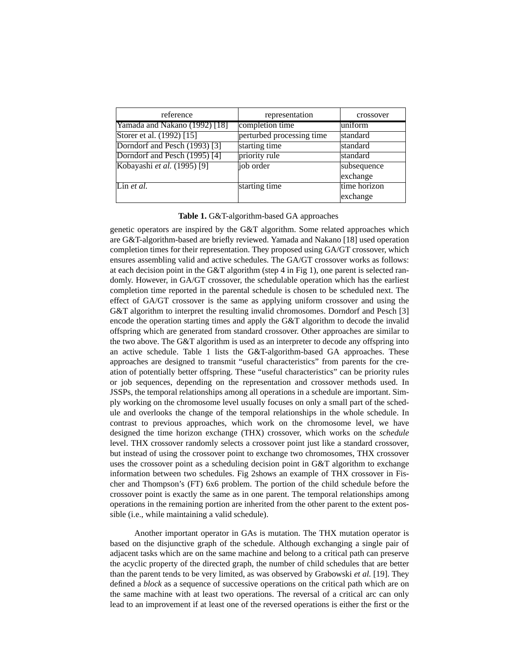| reference                     | representation            | crossover    |  |
|-------------------------------|---------------------------|--------------|--|
| Yamada and Nakano (1992) [18] | completion time           | uniform      |  |
| Storer et al. (1992) [15]     | perturbed processing time | standard     |  |
| Dorndorf and Pesch (1993) [3] | starting time             | lstandard    |  |
| Dorndorf and Pesch (1995) [4] | priority rule             | lstandard    |  |
| Kobayashi et al. (1995) [9]   | job order                 | subsequence  |  |
|                               |                           | exchange     |  |
| Lin <i>et al.</i>             | starting time             | time horizon |  |
|                               |                           | exchange     |  |

| Table 1. G&T-algorithm-based GA approaches |  |
|--------------------------------------------|--|
|--------------------------------------------|--|

genetic operators are inspired by the G&T algorithm. Some related approaches which are G&T-algorithm-based are briefly reviewed. Yamada and Nakano [18] used operation completion times for their representation. They proposed using GA/GT crossover, which ensures assembling valid and active schedules. The GA/GT crossover works as follows: at each decision point in the G&T algorithm (step 4 in Fig 1), one parent is selected randomly. However, in GA/GT crossover, the schedulable operation which has the earliest completion time reported in the parental schedule is chosen to be scheduled next. The effect of GA/GT crossover is the same as applying uniform crossover and using the G&T algorithm to interpret the resulting invalid chromosomes. Dorndorf and Pesch [3] encode the operation starting times and apply the G&T algorithm to decode the invalid offspring which are generated from standard crossover. Other approaches are similar to the two above. The G&T algorithm is used as an interpreter to decode any offspring into an active schedule. Table 1 lists the G&T-algorithm-based GA approaches. These approaches are designed to transmit "useful characteristics" from parents for the creation of potentially better offspring. These "useful characteristics" can be priority rules or job sequences, depending on the representation and crossover methods used. In JSSPs, the temporal relationships among all operations in a schedule are important. Simply working on the chromosome level usually focuses on only a small part of the schedule and overlooks the change of the temporal relationships in the whole schedule. In contrast to previous approaches, which work on the chromosome level, we have designed the time horizon exchange (THX) crossover, which works on the *schedule* level. THX crossover randomly selects a crossover point just like a standard crossover, but instead of using the crossover point to exchange two chromosomes, THX crossover uses the crossover point as a scheduling decision point in G&T algorithm to exchange information between two schedules. Fig 2shows an example of THX crossover in Fischer and Thompson's (FT) 6x6 problem. The portion of the child schedule before the crossover point is exactly the same as in one parent. The temporal relationships among operations in the remaining portion are inherited from the other parent to the extent possible (i.e., while maintaining a valid schedule).

Another important operator in GAs is mutation. The THX mutation operator is based on the disjunctive graph of the schedule. Although exchanging a single pair of adjacent tasks which are on the same machine and belong to a critical path can preserve the acyclic property of the directed graph, the number of child schedules that are better than the parent tends to be very limited, as was observed by Grabowski *et al.* [19]. They defined a *block* as a sequence of successive operations on the critical path which are on the same machine with at least two operations. The reversal of a critical arc can only lead to an improvement if at least one of the reversed operations is either the first or the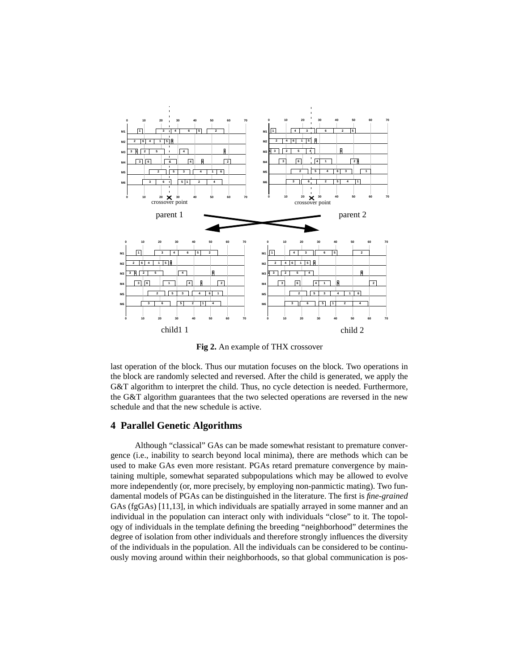

**Fig 2.** An example of THX crossover

last operation of the block. Thus our mutation focuses on the block. Two operations in the block are randomly selected and reversed. After the child is generated, we apply the G&T algorithm to interpret the child. Thus, no cycle detection is needed. Furthermore, the G&T algorithm guarantees that the two selected operations are reversed in the new schedule and that the new schedule is active.

### **4 Parallel Genetic Algorithms**

Although "classical" GAs can be made somewhat resistant to premature convergence (i.e., inability to search beyond local minima), there are methods which can be used to make GAs even more resistant. PGAs retard premature convergence by maintaining multiple, somewhat separated subpopulations which may be allowed to evolve more independently (or, more precisely, by employing non-panmictic mating). Two fundamental models of PGAs can be distinguished in the literature. The first is *fine-grained* GAs (fgGAs) [11,13], in which individuals are spatially arrayed in some manner and an individual in the population can interact only with individuals "close" to it. The topology of individuals in the template defining the breeding "neighborhood" determines the degree of isolation from other individuals and therefore strongly influences the diversity of the individuals in the population. All the individuals can be considered to be continuously moving around within their neighborhoods, so that global communication is pos-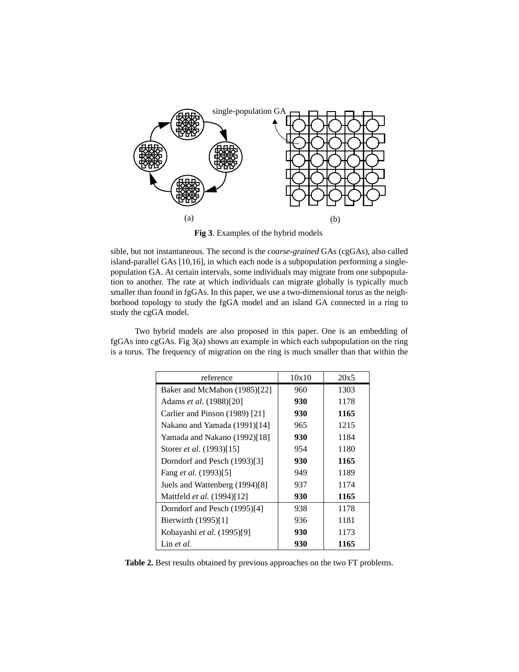

**Fig 3**. Examples of the hybrid models

sible, but not instantaneous. The second is the *coarse-grained* GAs (cgGAs), also called island-parallel GAs [10,16], in which each node is a subpopulation performing a singlepopulation GA. At certain intervals, some individuals may migrate from one subpopulation to another. The rate at which individuals can migrate globally is typically much smaller than found in fgGAs. In this paper, we use a two-dimensional torus as the neighborhood topology to study the fgGA model and an island GA connected in a ring to study the cgGA model.

Two hybrid models are also proposed in this paper. One is an embedding of fgGAs into cgGAs. Fig 3(a) shows an example in which each subpopulation on the ring is a torus. The frequency of migration on the ring is much smaller than that within the

| reference                         | 10x10 | 20x5 |
|-----------------------------------|-------|------|
| Baker and McMahon (1985)[22]      | 960   | 1303 |
| Adams et al. (1988)[20]           | 930   | 1178 |
| Carlier and Pinson (1989) [21]    | 930   | 1165 |
| Nakano and Yamada (1991)[14]      | 965   | 1215 |
| Yamada and Nakano (1992)[18]      | 930   | 1184 |
| Storer <i>et al.</i> (1993)[15]   | 954   | 1180 |
| Dorndorf and Pesch (1993)[3]      | 930   | 1165 |
| Fang et al. (1993)[5]             | 949   | 1189 |
| Juels and Wattenberg (1994)[8]    | 937   | 1174 |
| Mattfeld <i>et al.</i> (1994)[12] | 930   | 1165 |
| Dorndorf and Pesch (1995)[4]      | 938   | 1178 |
| Bierwirth $(1995)[1]$             | 936   | 1181 |
| Kobayashi et al. (1995)[9]        | 930   | 1173 |
| Lin et al.                        | 930   | 1165 |

**Table 2.** Best results obtained by previous approaches on the two FT problems.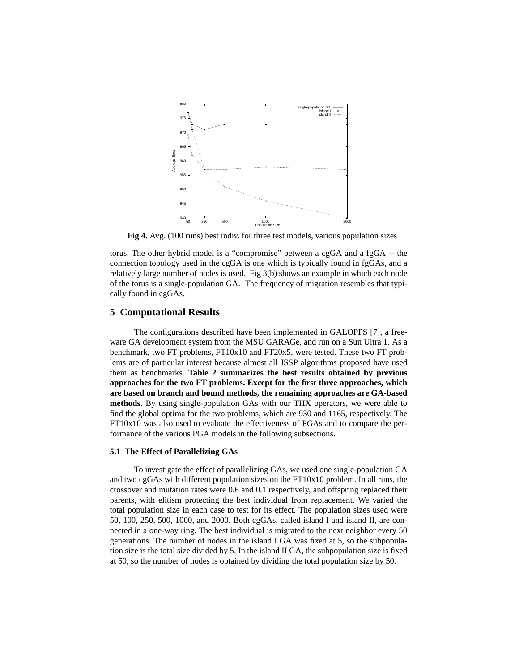

**Fig 4.** Avg. (100 runs) best indiv. for three test models, various population sizes

torus. The other hybrid model is a "compromise" between a cgGA and a fgGA -- the connection topology used in the cgGA is one which is typically found in fgGAs, and a relatively large number of nodes is used. Fig 3(b) shows an example in which each node of the torus is a single-population GA. The frequency of migration resembles that typically found in cgGAs.

# **5 Computational Results**

The configurations described have been implemented in GALOPPS [7], a freeware GA development system from the MSU GARAGe, and run on a Sun Ultra 1. As a benchmark, two FT problems, FT10x10 and FT20x5, were tested. These two FT problems are of particular interest because almost all JSSP algorithms proposed have used them as benchmarks. **Table 2 summarizes the best results obtained by previous approaches for the two FT problems. Except for the first three approaches, which are based on branch and bound methods, the remaining approaches are GA-based methods.** By using single-population GAs with our THX operators, we were able to find the global optima for the two problems, which are 930 and 1165, respectively. The FT10x10 was also used to evaluate the effectiveness of PGAs and to compare the performance of the various PGA models in the following subsections.

### **5.1 The Effect of Parallelizing GAs**

To investigate the effect of parallelizing GAs, we used one single-population GA and two cgGAs with different population sizes on the FT10x10 problem. In all runs, the crossover and mutation rates were 0.6 and 0.1 respectively, and offspring replaced their parents, with elitism protecting the best individual from replacement. We varied the total population size in each case to test for its effect. The population sizes used were 50, 100, 250, 500, 1000, and 2000. Both cgGAs, called island I and island II, are connected in a one-way ring. The best individual is migrated to the next neighbor every 50 generations. The number of nodes in the island I GA was fixed at 5, so the subpopulation size is the total size divided by 5. In the island II GA, the subpopulation size is fixed at 50, so the number of nodes is obtained by dividing the total population size by 50.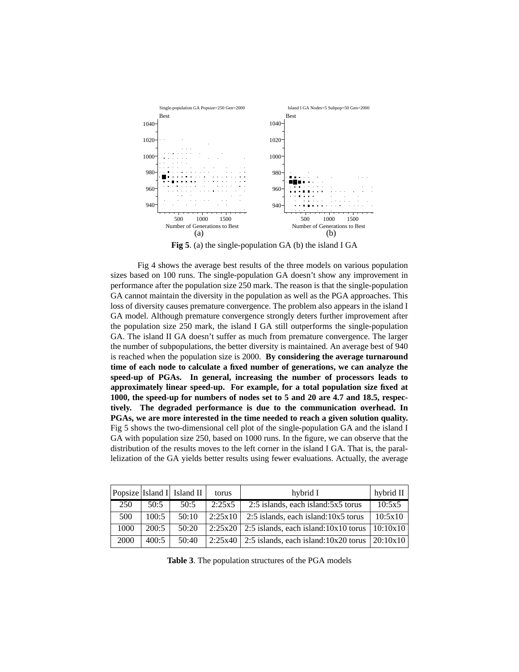

**Fig 5**. (a) the single-population GA (b) the island I GA

Fig 4 shows the average best results of the three models on various population sizes based on 100 runs. The single-population GA doesn't show any improvement in performance after the population size 250 mark. The reason is that the single-population GA cannot maintain the diversity in the population as well as the PGA approaches. This loss of diversity causes premature convergence. The problem also appears in the island I GA model. Although premature convergence strongly deters further improvement after the population size 250 mark, the island I GA still outperforms the single-population GA. The island II GA doesn't suffer as much from premature convergence. The larger the number of subpopulations, the better diversity is maintained. An average best of 940 is reached when the population size is 2000. **By considering the average turnaround time of each node to calculate a fixed number of generations, we can analyze the speed-up of PGAs. In general, increasing the number of processors leads to approximately linear speed-up. For example, for a total population size fixed at 1000, the speed-up for numbers of nodes set to 5 and 20 are 4.7 and 18.5, respectively. The degraded performance is due to the communication overhead. In PGAs, we are more interested in the time needed to reach a given solution quality.** Fig 5 shows the two-dimensional cell plot of the single-population GA and the island I GA with population size 250, based on 1000 runs. In the figure, we can observe that the distribution of the results moves to the left corner in the island I GA. That is, the parallelization of the GA yields better results using fewer evaluations. Actually, the average

|      |       | Popsize Island I Island II | torus   | hybrid I                                                         | hybrid $\Pi$ |
|------|-------|----------------------------|---------|------------------------------------------------------------------|--------------|
| 250  | 50:5  | 50:5                       | 2:25x5  | $2:5$ islands, each island: $5x5$ torus                          | 10:5x5       |
| 500  | 100:5 | 50:10                      | 2:25x10 | $2:5$ islands, each island: $10x5$ torus                         | 10:5x10      |
| 1000 | 200:5 | 50:20                      |         | $\left  2:25x20 \right  2:5$ islands, each island: $10x10$ torus | 10:10x10     |
| 2000 | 400:5 | 50:40                      | 2:25x40 | 2:5 islands, each island: $10x20$ torus                          | 20:10x10     |

**Table 3**. The population structures of the PGA models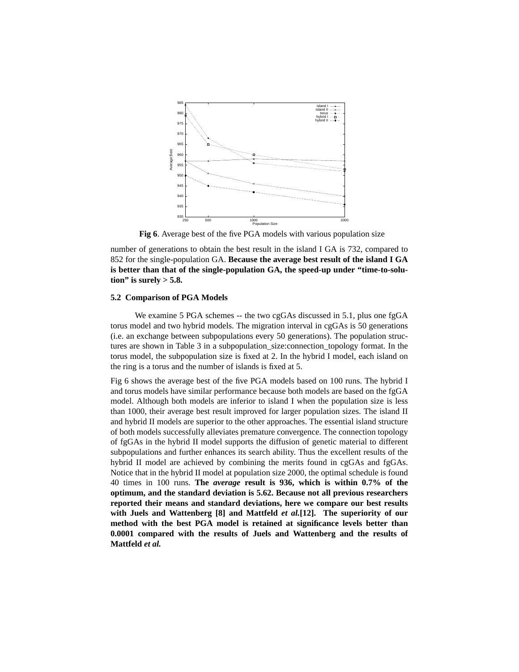

**Fig 6**. Average best of the five PGA models with various population size

number of generations to obtain the best result in the island I GA is 732, compared to 852 for the single-population GA. **Because the average best result of the island I GA is better than that of the single-population GA, the speed-up under "time-to-solu**tion" is surely  $> 5.8$ .

#### **5.2 Comparison of PGA Models**

We examine 5 PGA schemes  $-$  the two cgGAs discussed in 5.1, plus one fgGA torus model and two hybrid models. The migration interval in cgGAs is 50 generations (i.e. an exchange between subpopulations every 50 generations). The population structures are shown in Table 3 in a subpopulation\_size:connection\_topology format. In the torus model, the subpopulation size is fixed at 2. In the hybrid I model, each island on the ring is a torus and the number of islands is fixed at 5.

Fig 6 shows the average best of the five PGA models based on 100 runs. The hybrid I and torus models have similar performance because both models are based on the fgGA model. Although both models are inferior to island I when the population size is less than 1000, their average best result improved for larger population sizes. The island II and hybrid II models are superior to the other approaches. The essential island structure of both models successfully alleviates premature convergence. The connection topology of fgGAs in the hybrid II model supports the diffusion of genetic material to different subpopulations and further enhances its search ability. Thus the excellent results of the hybrid II model are achieved by combining the merits found in cgGAs and fgGAs. Notice that in the hybrid II model at population size 2000, the optimal schedule is found 40 times in 100 runs. **The** *average* **result is 936, which is within 0.7% of the optimum, and the standard deviation is 5.62. Because not all previous researchers reported their means and standard deviations, here we compare our best results with Juels and Wattenberg [8] and Mattfeld** *et al.***[12]. The superiority of our method with the best PGA model is retained at significance levels better than 0.0001 compared with the results of Juels and Wattenberg and the results of Mattfeld** *et al.*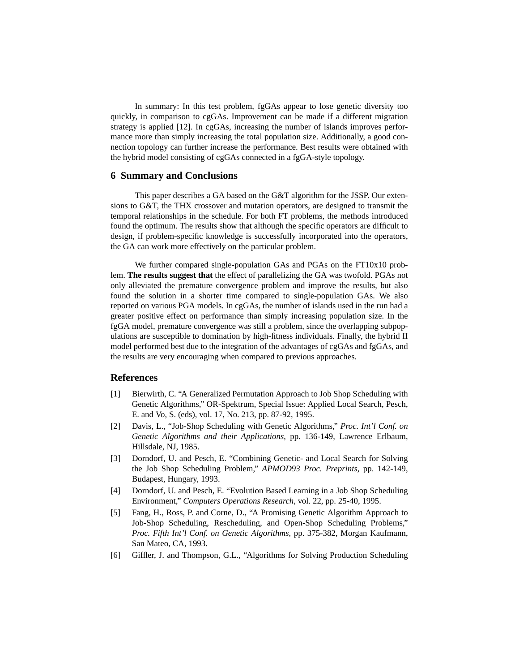In summary: In this test problem, fgGAs appear to lose genetic diversity too quickly, in comparison to cgGAs. Improvement can be made if a different migration strategy is applied [12]. In cgGAs, increasing the number of islands improves performance more than simply increasing the total population size. Additionally, a good connection topology can further increase the performance. Best results were obtained with the hybrid model consisting of cgGAs connected in a fgGA-style topology.

### **6 Summary and Conclusions**

This paper describes a GA based on the G&T algorithm for the JSSP. Our extensions to G&T, the THX crossover and mutation operators, are designed to transmit the temporal relationships in the schedule. For both FT problems, the methods introduced found the optimum. The results show that although the specific operators are difficult to design, if problem-specific knowledge is successfully incorporated into the operators, the GA can work more effectively on the particular problem.

We further compared single-population GAs and PGAs on the FT10x10 problem. **The results suggest that** the effect of parallelizing the GA was twofold. PGAs not only alleviated the premature convergence problem and improve the results, but also found the solution in a shorter time compared to single-population GAs. We also reported on various PGA models. In cgGAs, the number of islands used in the run had a greater positive effect on performance than simply increasing population size. In the fgGA model, premature convergence was still a problem, since the overlapping subpopulations are susceptible to domination by high-fitness individuals. Finally, the hybrid II model performed best due to the integration of the advantages of cgGAs and fgGAs, and the results are very encouraging when compared to previous approaches.

### **References**

- [1] Bierwirth, C. "A Generalized Permutation Approach to Job Shop Scheduling with Genetic Algorithms," OR-Spektrum, Special Issue: Applied Local Search, Pesch, E. and Vo, S. (eds), vol. 17, No. 213, pp. 87-92, 1995.
- [2] Davis, L., "Job-Shop Scheduling with Genetic Algorithms," *Proc. Int'l Conf. on Genetic Algorithms and their Applications*, pp. 136-149, Lawrence Erlbaum, Hillsdale, NJ, 1985.
- [3] Dorndorf, U. and Pesch, E. "Combining Genetic- and Local Search for Solving the Job Shop Scheduling Problem," *APMOD93 Proc. Preprints*, pp. 142-149, Budapest, Hungary, 1993.
- [4] Dorndorf, U. and Pesch, E. "Evolution Based Learning in a Job Shop Scheduling Environment," *Computers Operations Research*, vol. 22, pp. 25-40, 1995.
- [5] Fang, H., Ross, P. and Corne, D., "A Promising Genetic Algorithm Approach to Job-Shop Scheduling, Rescheduling, and Open-Shop Scheduling Problems," *Proc. Fifth Int'l Conf. on Genetic Algorithms*, pp. 375-382, Morgan Kaufmann, San Mateo, CA, 1993.
- [6] Giffler, J. and Thompson, G.L., "Algorithms for Solving Production Scheduling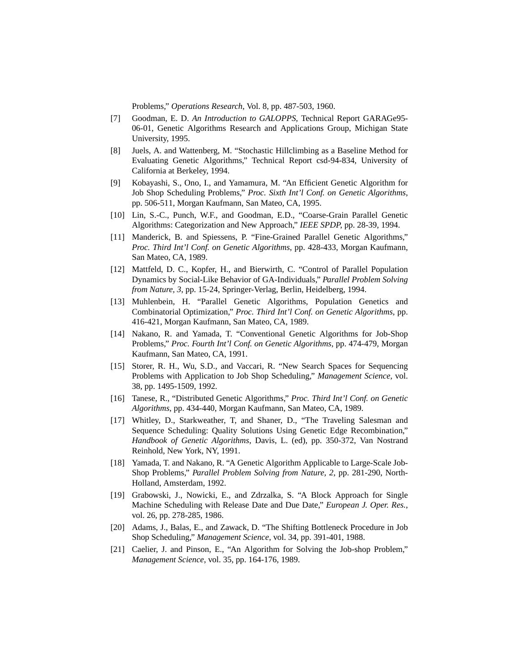Problems," *Operations Research*, Vol. 8, pp. 487-503, 1960.

- [7] Goodman, E. D. *An Introduction to GALOPPS*, Technical Report GARAGe95- 06-01, Genetic Algorithms Research and Applications Group, Michigan State University, 1995.
- [8] Juels, A. and Wattenberg, M. "Stochastic Hillclimbing as a Baseline Method for Evaluating Genetic Algorithms," Technical Report csd-94-834, University of California at Berkeley, 1994.
- [9] Kobayashi, S., Ono, I., and Yamamura, M. "An Efficient Genetic Algorithm for Job Shop Scheduling Problems," *Proc. Sixth Int'l Conf. on Genetic Algorithms*, pp. 506-511, Morgan Kaufmann, San Mateo, CA, 1995.
- [10] Lin, S.-C., Punch, W.F., and Goodman, E.D., "Coarse-Grain Parallel Genetic Algorithms: Categorization and New Approach," *IEEE SPDP*, pp. 28-39, 1994.
- [11] Manderick, B. and Spiessens, P. "Fine-Grained Parallel Genetic Algorithms," *Proc. Third Int'l Conf. on Genetic Algorithms*, pp. 428-433, Morgan Kaufmann, San Mateo, CA, 1989.
- [12] Mattfeld, D. C., Kopfer, H., and Bierwirth, C. "Control of Parallel Population Dynamics by Social-Like Behavior of GA-Individuals," *Parallel Problem Solving from Nature, 3*, pp. 15-24, Springer-Verlag, Berlin, Heidelberg, 1994.
- [13] Muhlenbein, H. "Parallel Genetic Algorithms, Population Genetics and Combinatorial Optimization," *Proc. Third Int'l Conf. on Genetic Algorithms*, pp. 416-421, Morgan Kaufmann, San Mateo, CA, 1989.
- [14] Nakano, R. and Yamada, T. "Conventional Genetic Algorithms for Job-Shop Problems," *Proc. Fourth Int'l Conf. on Genetic Algorithms*, pp. 474-479, Morgan Kaufmann, San Mateo, CA, 1991.
- [15] Storer, R. H., Wu, S.D., and Vaccari, R. "New Search Spaces for Sequencing Problems with Application to Job Shop Scheduling," *Management Science,* vol. 38, pp. 1495-1509, 1992.
- [16] Tanese, R., "Distributed Genetic Algorithms," *Proc. Third Int'l Conf. on Genetic Algorithms*, pp. 434-440, Morgan Kaufmann, San Mateo, CA, 1989.
- [17] Whitley, D., Starkweather, T, and Shaner, D., "The Traveling Salesman and Sequence Scheduling: Quality Solutions Using Genetic Edge Recombination," *Handbook of Genetic Algorithms*, Davis, L. (ed), pp. 350-372, Van Nostrand Reinhold, New York, NY, 1991.
- [18] Yamada, T. and Nakano, R. "A Genetic Algorithm Applicable to Large-Scale Job-Shop Problems," *Parallel Problem Solving from Nature, 2*, pp. 281-290, North-Holland, Amsterdam, 1992.
- [19] Grabowski, J., Nowicki, E., and Zdrzalka, S. "A Block Approach for Single Machine Scheduling with Release Date and Due Date," *European J. Oper. Res.*, vol. 26, pp. 278-285, 1986.
- [20] Adams, J., Balas, E., and Zawack, D. "The Shifting Bottleneck Procedure in Job Shop Scheduling," *Management Science*, vol. 34, pp. 391-401, 1988.
- [21] Caelier, J. and Pinson, E., "An Algorithm for Solving the Job-shop Problem," *Management Science*, vol. 35, pp. 164-176, 1989.